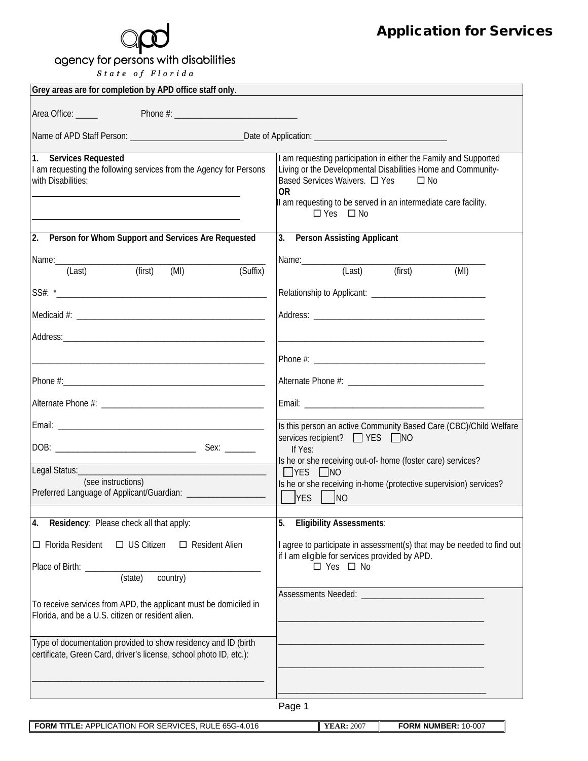## agency for persons with disabilities

 $\begin{array}{cccc} \textit{State} & \textit{of} & \textit{Florida} \end{array}$ 

| Grey areas are for completion by APD office staff only.                                                                                                 |                                                                                                                                                                                                                                                                                |  |  |
|---------------------------------------------------------------------------------------------------------------------------------------------------------|--------------------------------------------------------------------------------------------------------------------------------------------------------------------------------------------------------------------------------------------------------------------------------|--|--|
| Area Office:                                                                                                                                            |                                                                                                                                                                                                                                                                                |  |  |
|                                                                                                                                                         |                                                                                                                                                                                                                                                                                |  |  |
| 1. Services Requested<br>I am requesting the following services from the Agency for Persons<br>with Disabilities:                                       | I am requesting participation in either the Family and Supported<br>Living or the Developmental Disabilities Home and Community-<br>Based Services Waivers. □ Yes □ No<br><b>OR</b><br>II am requesting to be served in an intermediate care facility.<br>$\Box$ Yes $\Box$ No |  |  |
| 2. Person for Whom Support and Services Are Requested                                                                                                   | 3. Person Assisting Applicant                                                                                                                                                                                                                                                  |  |  |
| Name: 2008 - 2008 - 2014 - 2014 - 2014 - 2014 - 2014 - 2014 - 2014 - 2014 - 2014 - 2014 - 2014 - 2014 - 2014 -<br>(first)<br>(MI)<br>(Last)<br>(Suffix) | $(Last)$ (first)<br>(MI)                                                                                                                                                                                                                                                       |  |  |
|                                                                                                                                                         |                                                                                                                                                                                                                                                                                |  |  |
|                                                                                                                                                         |                                                                                                                                                                                                                                                                                |  |  |
|                                                                                                                                                         |                                                                                                                                                                                                                                                                                |  |  |
|                                                                                                                                                         |                                                                                                                                                                                                                                                                                |  |  |
|                                                                                                                                                         |                                                                                                                                                                                                                                                                                |  |  |
|                                                                                                                                                         |                                                                                                                                                                                                                                                                                |  |  |
|                                                                                                                                                         | Is this person an active Community Based Care (CBC)/Child Welfare<br>services recipient? ■ YES ■ NO                                                                                                                                                                            |  |  |
|                                                                                                                                                         | If Yes:<br>Is he or she receiving out-of- home (foster care) services?                                                                                                                                                                                                         |  |  |
|                                                                                                                                                         | $\Box$ YES $\Box$ NO                                                                                                                                                                                                                                                           |  |  |
| (see instructions)<br>Preferred Language of Applicant/Guardian: _____________________                                                                   | Is he or she receiving in-home (protective supervision) services?<br><b>YES</b><br>– Ino                                                                                                                                                                                       |  |  |
| Residency: Please check all that apply:<br>4.                                                                                                           | 5.<br><b>Eligibility Assessments:</b>                                                                                                                                                                                                                                          |  |  |
| $\Box$ Florida Resident<br>$\Box$ US Citizen<br>□ Resident Alien                                                                                        | I agree to participate in assessment(s) that may be needed to find out                                                                                                                                                                                                         |  |  |
| Place of Birth: ___________                                                                                                                             | if I am eligible for services provided by APD.<br>$\square$ Yes $\square$ No                                                                                                                                                                                                   |  |  |
| $\frac{1}{\text{Country}}$<br>$\frac{1}{\text{(state)}}$                                                                                                |                                                                                                                                                                                                                                                                                |  |  |
| To receive services from APD, the applicant must be domiciled in<br>Florida, and be a U.S. citizen or resident alien.                                   |                                                                                                                                                                                                                                                                                |  |  |
| Type of documentation provided to show residency and ID (birth<br>certificate, Green Card, driver's license, school photo ID, etc.):                    |                                                                                                                                                                                                                                                                                |  |  |
|                                                                                                                                                         |                                                                                                                                                                                                                                                                                |  |  |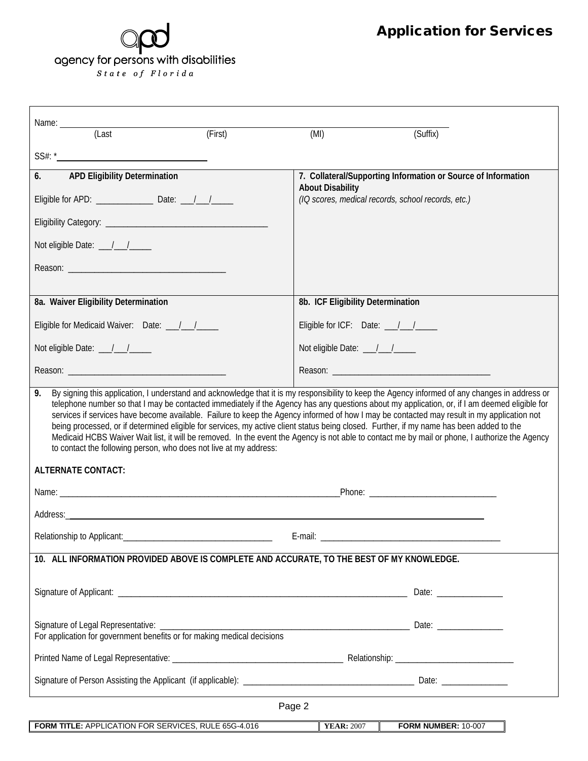## agency for persons with disabilities  $S$  tate of Florida

| Name:                                                                                                                                                                                                                                                                                                                                                                                                                                                                                                                                                                                                                                                                                                                                                                                                                   |         |                                   |                                                               |  |  |
|-------------------------------------------------------------------------------------------------------------------------------------------------------------------------------------------------------------------------------------------------------------------------------------------------------------------------------------------------------------------------------------------------------------------------------------------------------------------------------------------------------------------------------------------------------------------------------------------------------------------------------------------------------------------------------------------------------------------------------------------------------------------------------------------------------------------------|---------|-----------------------------------|---------------------------------------------------------------|--|--|
| (Last                                                                                                                                                                                                                                                                                                                                                                                                                                                                                                                                                                                                                                                                                                                                                                                                                   | (First) | (MI)                              | (Suffix)                                                      |  |  |
|                                                                                                                                                                                                                                                                                                                                                                                                                                                                                                                                                                                                                                                                                                                                                                                                                         |         |                                   |                                                               |  |  |
| <b>APD Eligibility Determination</b><br>6.                                                                                                                                                                                                                                                                                                                                                                                                                                                                                                                                                                                                                                                                                                                                                                              |         | <b>About Disability</b>           | 7. Collateral/Supporting Information or Source of Information |  |  |
|                                                                                                                                                                                                                                                                                                                                                                                                                                                                                                                                                                                                                                                                                                                                                                                                                         |         |                                   | (IQ scores, medical records, school records, etc.)            |  |  |
|                                                                                                                                                                                                                                                                                                                                                                                                                                                                                                                                                                                                                                                                                                                                                                                                                         |         |                                   |                                                               |  |  |
| Not eligible Date: \[ \]                                                                                                                                                                                                                                                                                                                                                                                                                                                                                                                                                                                                                                                                                                                                                                                                |         |                                   |                                                               |  |  |
|                                                                                                                                                                                                                                                                                                                                                                                                                                                                                                                                                                                                                                                                                                                                                                                                                         |         |                                   |                                                               |  |  |
|                                                                                                                                                                                                                                                                                                                                                                                                                                                                                                                                                                                                                                                                                                                                                                                                                         |         |                                   |                                                               |  |  |
| 8a. Waiver Eligibility Determination                                                                                                                                                                                                                                                                                                                                                                                                                                                                                                                                                                                                                                                                                                                                                                                    |         | 8b. ICF Eligibility Determination |                                                               |  |  |
| Eligible for Medicaid Waiver: Date: 1/1/2000                                                                                                                                                                                                                                                                                                                                                                                                                                                                                                                                                                                                                                                                                                                                                                            |         |                                   |                                                               |  |  |
| Not eligible Date: \[\sqrtdgg_{\sqrtdggg}}                                                                                                                                                                                                                                                                                                                                                                                                                                                                                                                                                                                                                                                                                                                                                                              |         | Not eligible Date: __/__/____     |                                                               |  |  |
|                                                                                                                                                                                                                                                                                                                                                                                                                                                                                                                                                                                                                                                                                                                                                                                                                         |         |                                   |                                                               |  |  |
| By signing this application, I understand and acknowledge that it is my responsibility to keep the Agency informed of any changes in address or<br>9.<br>telephone number so that I may be contacted immediately if the Agency has any questions about my application, or, if I am deemed eligible for<br>services if services have become available. Failure to keep the Agency informed of how I may be contacted may result in my application not<br>being processed, or if determined eligible for services, my active client status being closed. Further, if my name has been added to the<br>Medicaid HCBS Waiver Wait list, it will be removed. In the event the Agency is not able to contact me by mail or phone, I authorize the Agency<br>to contact the following person, who does not live at my address: |         |                                   |                                                               |  |  |
| <b>ALTERNATE CONTACT:</b>                                                                                                                                                                                                                                                                                                                                                                                                                                                                                                                                                                                                                                                                                                                                                                                               |         |                                   |                                                               |  |  |
|                                                                                                                                                                                                                                                                                                                                                                                                                                                                                                                                                                                                                                                                                                                                                                                                                         |         |                                   |                                                               |  |  |
|                                                                                                                                                                                                                                                                                                                                                                                                                                                                                                                                                                                                                                                                                                                                                                                                                         |         |                                   |                                                               |  |  |
| Relationship to Applicant:<br>E-mail:                                                                                                                                                                                                                                                                                                                                                                                                                                                                                                                                                                                                                                                                                                                                                                                   |         |                                   |                                                               |  |  |
| 10. ALL INFORMATION PROVIDED ABOVE IS COMPLETE AND ACCURATE, TO THE BEST OF MY KNOWLEDGE.                                                                                                                                                                                                                                                                                                                                                                                                                                                                                                                                                                                                                                                                                                                               |         |                                   |                                                               |  |  |
|                                                                                                                                                                                                                                                                                                                                                                                                                                                                                                                                                                                                                                                                                                                                                                                                                         |         |                                   | Date: __________                                              |  |  |
|                                                                                                                                                                                                                                                                                                                                                                                                                                                                                                                                                                                                                                                                                                                                                                                                                         |         |                                   |                                                               |  |  |
|                                                                                                                                                                                                                                                                                                                                                                                                                                                                                                                                                                                                                                                                                                                                                                                                                         |         |                                   |                                                               |  |  |
|                                                                                                                                                                                                                                                                                                                                                                                                                                                                                                                                                                                                                                                                                                                                                                                                                         |         |                                   |                                                               |  |  |
| Page 2                                                                                                                                                                                                                                                                                                                                                                                                                                                                                                                                                                                                                                                                                                                                                                                                                  |         |                                   |                                                               |  |  |
| FORM TITLE: APPLICATION FOR SERVICES, RULE 65G-4.016                                                                                                                                                                                                                                                                                                                                                                                                                                                                                                                                                                                                                                                                                                                                                                    |         | <b>YEAR: 2007</b>                 | FORM NUMBER: 10-007                                           |  |  |